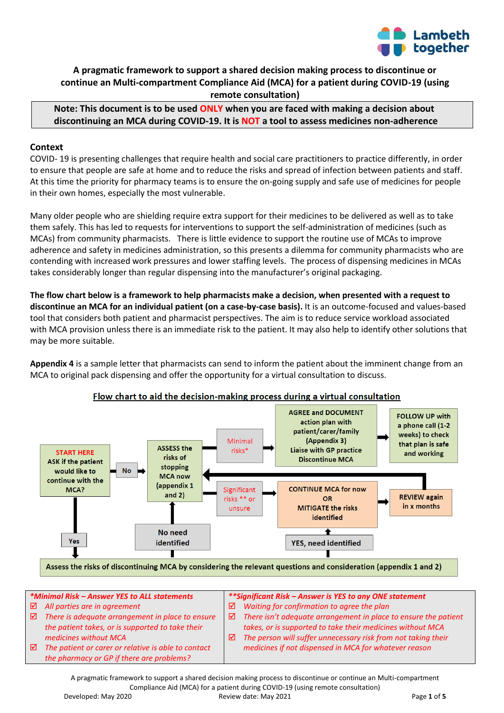

# **A pragmatic framework to support a shared decision making process to discontinue or continue an Multi-compartment Compliance Aid (MCA) for a patient during COVID-19 (using remote consultation)**

**Note: This document is to be used ONLY when you are faced with making a decision about discontinuing an MCA during COVID-19. It is NOT a tool to assess medicines non-adherence**

#### **Context**

COVID- 19 is presenting challenges that require health and social care practitioners to practice differently, in order to ensure that people are safe at home and to reduce the risks and spread of infection between patients and staff. At this time the priority for pharmacy teams is to ensure the on-going supply and safe use of medicines for people in their own homes, especially the most vulnerable.

Many older people who are shielding require extra support for their medicines to be delivered as well as to take them safely. This has led to requests for interventions to support the self-administration of medicines (such as MCAs) from community pharmacists. There is little evidence to support the routine use of MCAs to improve adherence and safety in medicines administration, so this presents a dilemma for community pharmacists who are contending with increased work pressures and lower staffing levels. The process of dispensing medicines in MCAs takes considerably longer than regular dispensing into the manufacturer's original packaging.

**The flow chart below is a framework to help pharmacists make a decision, when presented with a request to discontinue an MCA for an individual patient (on a case-by-case basis).** It is an outcome-focused and values-based tool that considers both patient and pharmacist perspectives. The aim is to reduce service workload associated with MCA provision unless there is an immediate risk to the patient. It may also help to identify other solutions that may be more suitable.

**Appendix 4** is a sample letter that pharmacists can send to inform the patient about the imminent change from an MCA to original pack dispensing and offer the opportunity for a virtual consultation to discuss.



## Flow chart to aid the decision-making process during a virtual consultation

*\*Minimal Risk – Answer YES to ALL statements All parties are in agreement There is adequate arrangement in place to ensure the patient takes, or is supported to take their medicines without MCA The patient or carer or relative is able to contact the pharmacy or GP if there are problems? \*\*Significant Risk – Answer is YES to any ONE statement Waiting for confirmation to agree the plan There isn't adequate arrangement in place to ensure the patient takes, or is supported to take their medicines without MCA The person will suffer unnecessary risk from not taking their medicines if not dispensed in MCA for whatever reason*

A pragmatic framework to support a shared decision making process to discontinue or continue an Multi-compartment Compliance Aid (MCA) for a patient during COVID-19 (using remote consultation) Developed: May 2020 **Review date: May 2021 Page 1 of 5 Page 1 of 5**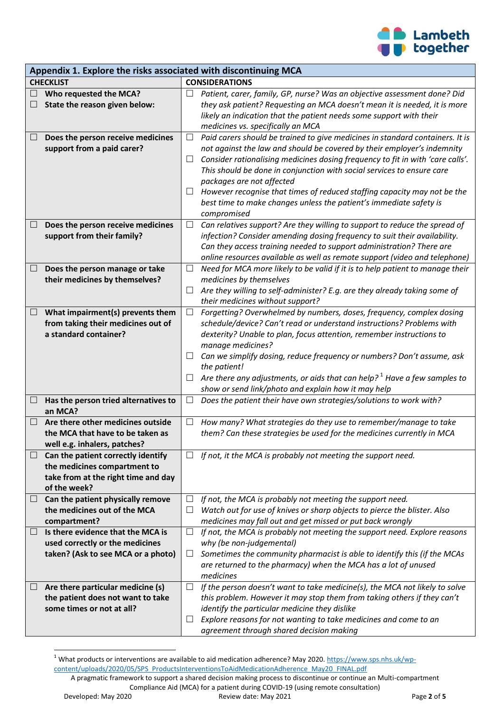

| Appendix 1. Explore the risks associated with discontinuing MCA |                                                                        |                          |                                                                                                                                               |  |
|-----------------------------------------------------------------|------------------------------------------------------------------------|--------------------------|-----------------------------------------------------------------------------------------------------------------------------------------------|--|
| <b>CHECKLIST</b>                                                |                                                                        |                          | <b>CONSIDERATIONS</b>                                                                                                                         |  |
| $\Box$                                                          | Who requested the MCA?                                                 |                          | Patient, carer, family, GP, nurse? Was an objective assessment done? Did                                                                      |  |
|                                                                 | State the reason given below:                                          |                          | they ask patient? Requesting an MCA doesn't mean it is needed, it is more                                                                     |  |
|                                                                 |                                                                        |                          | likely an indication that the patient needs some support with their                                                                           |  |
|                                                                 |                                                                        |                          | medicines vs. specifically an MCA                                                                                                             |  |
| $\Box$                                                          | Does the person receive medicines                                      | $\Box$                   | Paid carers should be trained to give medicines in standard containers. It is                                                                 |  |
|                                                                 | support from a paid carer?                                             |                          | not against the law and should be covered by their employer's indemnity                                                                       |  |
|                                                                 |                                                                        | $\Box$                   | Consider rationalising medicines dosing frequency to fit in with 'care calls'.                                                                |  |
|                                                                 |                                                                        |                          | This should be done in conjunction with social services to ensure care                                                                        |  |
|                                                                 |                                                                        |                          | packages are not affected                                                                                                                     |  |
|                                                                 |                                                                        |                          | However recognise that times of reduced staffing capacity may not be the                                                                      |  |
|                                                                 |                                                                        |                          | best time to make changes unless the patient's immediate safety is                                                                            |  |
|                                                                 |                                                                        |                          | compromised                                                                                                                                   |  |
| $\Box$                                                          | Does the person receive medicines                                      | ⊔                        | Can relatives support? Are they willing to support to reduce the spread of                                                                    |  |
|                                                                 | support from their family?                                             |                          | infection? Consider amending dosing frequency to suit their availability.                                                                     |  |
|                                                                 |                                                                        |                          | Can they access training needed to support administration? There are                                                                          |  |
|                                                                 |                                                                        |                          | online resources available as well as remote support (video and telephone)                                                                    |  |
| ⊔                                                               | Does the person manage or take                                         | ⊔                        | Need for MCA more likely to be valid if it is to help patient to manage their                                                                 |  |
|                                                                 | their medicines by themselves?                                         | $\Box$                   | medicines by themselves                                                                                                                       |  |
|                                                                 |                                                                        |                          | Are they willing to self-administer? E.g. are they already taking some of<br>their medicines without support?                                 |  |
|                                                                 |                                                                        | $\Box$                   |                                                                                                                                               |  |
| $\Box$                                                          | What impairment(s) prevents them<br>from taking their medicines out of |                          | Forgetting? Overwhelmed by numbers, doses, frequency, complex dosing<br>schedule/device? Can't read or understand instructions? Problems with |  |
|                                                                 | a standard container?                                                  |                          | dexterity? Unable to plan, focus attention, remember instructions to                                                                          |  |
|                                                                 |                                                                        |                          | manage medicines?                                                                                                                             |  |
|                                                                 |                                                                        | $\Box$                   | Can we simplify dosing, reduce frequency or numbers? Don't assume, ask                                                                        |  |
|                                                                 |                                                                        |                          | the patient!                                                                                                                                  |  |
|                                                                 |                                                                        | $\Box$                   | Are there any adjustments, or aids that can help? <sup>1</sup> Have a few samples to                                                          |  |
|                                                                 |                                                                        |                          | show or send link/photo and explain how it may help                                                                                           |  |
| $\Box$                                                          | Has the person tried alternatives to                                   | ⊔                        | Does the patient their have own strategies/solutions to work with?                                                                            |  |
|                                                                 | an MCA?                                                                |                          |                                                                                                                                               |  |
| $\Box$                                                          | Are there other medicines outside                                      | $\overline{\phantom{a}}$ | How many? What strategies do they use to remember/manage to take                                                                              |  |
|                                                                 | the MCA that have to be taken as                                       |                          | them? Can these strategies be used for the medicines currently in MCA                                                                         |  |
|                                                                 | well e.g. inhalers, patches?                                           |                          |                                                                                                                                               |  |
| $\Box$                                                          | Can the patient correctly identify                                     |                          | If not, it the MCA is probably not meeting the support need.                                                                                  |  |
|                                                                 | the medicines compartment to                                           |                          |                                                                                                                                               |  |
|                                                                 | take from at the right time and day                                    |                          |                                                                                                                                               |  |
|                                                                 | of the week?                                                           |                          |                                                                                                                                               |  |
| $\Box$                                                          | Can the patient physically remove                                      | ப                        | If not, the MCA is probably not meeting the support need.                                                                                     |  |
|                                                                 | the medicines out of the MCA                                           | ⊔                        | Watch out for use of knives or sharp objects to pierce the blister. Also                                                                      |  |
|                                                                 | compartment?                                                           |                          | medicines may fall out and get missed or put back wrongly                                                                                     |  |
| ⊔                                                               | Is there evidence that the MCA is                                      | ⊔                        | If not, the MCA is probably not meeting the support need. Explore reasons                                                                     |  |
|                                                                 | used correctly or the medicines                                        |                          | why (be non-judgemental)                                                                                                                      |  |
|                                                                 | taken? (Ask to see MCA or a photo)                                     | ⊔                        | Sometimes the community pharmacist is able to identify this (if the MCAs                                                                      |  |
|                                                                 |                                                                        |                          | are returned to the pharmacy) when the MCA has a lot of unused                                                                                |  |
|                                                                 |                                                                        |                          | medicines                                                                                                                                     |  |
| Ц                                                               | Are there particular medicine (s)                                      | $\Box$                   | If the person doesn't want to take medicine(s), the MCA not likely to solve                                                                   |  |
|                                                                 | the patient does not want to take<br>some times or not at all?         |                          | this problem. However it may stop them from taking others if they can't                                                                       |  |
|                                                                 |                                                                        | $\Box$                   | identify the particular medicine they dislike<br>Explore reasons for not wanting to take medicines and come to an                             |  |
|                                                                 |                                                                        |                          | agreement through shared decision making                                                                                                      |  |

 $\overline{\phantom{a}}$ <sup>1</sup> What products or interventions are available to aid medication adherence? May 2020[. https://www.sps.nhs.uk/wp](https://www.sps.nhs.uk/wp-content/uploads/2020/05/SPS_ProductsInterventionsToAidMedicationAdherence_May20_FINAL.pdf)[content/uploads/2020/05/SPS\\_ProductsInterventionsToAidMedicationAdherence\\_May20\\_FINAL.pdf](https://www.sps.nhs.uk/wp-content/uploads/2020/05/SPS_ProductsInterventionsToAidMedicationAdherence_May20_FINAL.pdf)

A pragmatic framework to support a shared decision making process to discontinue or continue an Multi-compartment Compliance Aid (MCA) for a patient during COVID-19 (using remote consultation)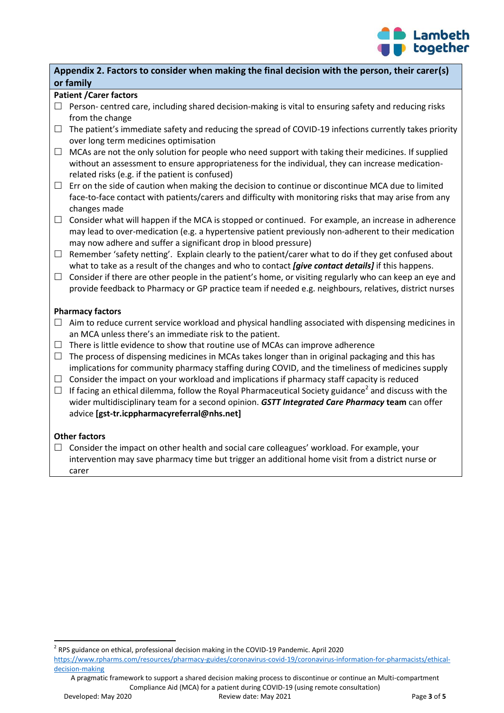

# **Appendix 2. Factors to consider when making the final decision with the person, their carer(s) or family**

## **Patient /Carer factors**

- $\Box$  Person- centred care, including shared decision-making is vital to ensuring safety and reducing risks from the change
- $\Box$  The patient's immediate safety and reducing the spread of COVID-19 infections currently takes priority over long term medicines optimisation
- $\Box$  MCAs are not the only solution for people who need support with taking their medicines. If supplied without an assessment to ensure appropriateness for the individual, they can increase medicationrelated risks (e.g. if the patient is confused)
- $\Box$  Err on the side of caution when making the decision to continue or discontinue MCA due to limited face-to-face contact with patients/carers and difficulty with monitoring risks that may arise from any changes made
- $\Box$  Consider what will happen if the MCA is stopped or continued. For example, an increase in adherence may lead to over-medication (e.g. a hypertensive patient previously non-adherent to their medication may now adhere and suffer a significant drop in blood pressure)
- $\Box$  Remember 'safety netting'. Explain clearly to the patient/carer what to do if they get confused about what to take as a result of the changes and who to contact *[give contact details]* if this happens.
- $\Box$  Consider if there are other people in the patient's home, or visiting regularly who can keep an eye and provide feedback to Pharmacy or GP practice team if needed e.g. neighbours, relatives, district nurses

## **Pharmacy factors**

- $\Box$  Aim to reduce current service workload and physical handling associated with dispensing medicines in an MCA unless there's an immediate risk to the patient.
- $\Box$  There is little evidence to show that routine use of MCAs can improve adherence
- $\Box$  The process of dispensing medicines in MCAs takes longer than in original packaging and this has implications for community pharmacy staffing during COVID, and the timeliness of medicines supply
- $\Box$  Consider the impact on your workload and implications if pharmacy staff capacity is reduced
- $\Box$  If facing an ethical dilemma, follow the Royal Pharmaceutical Society guidance<sup>2</sup> and discuss with the wider multidisciplinary team for a second opinion. *GSTT Integrated Care Pharmacy* **team** can offer advice **[gst-tr.icppharmacyreferral@nhs.net]**

#### **Other factors**

 $\Box$  Consider the impact on other health and social care colleagues' workload. For example, your intervention may save pharmacy time but trigger an additional home visit from a district nurse or carer

A pragmatic framework to support a shared decision making process to discontinue or continue an Multi-compartment Compliance Aid (MCA) for a patient during COVID-19 (using remote consultation)

 $\overline{a}$ 

<sup>&</sup>lt;sup>2</sup> RPS guidance on ethical, professional decision making in the COVID-19 Pandemic. April 2020 [https://www.rpharms.com/resources/pharmacy-guides/coronavirus-covid-19/coronavirus-information-for-pharmacists/ethical](https://www.rpharms.com/resources/pharmacy-guides/coronavirus-covid-19/coronavirus-information-for-pharmacists/ethical-decision-making)[decision-making](https://www.rpharms.com/resources/pharmacy-guides/coronavirus-covid-19/coronavirus-information-for-pharmacists/ethical-decision-making)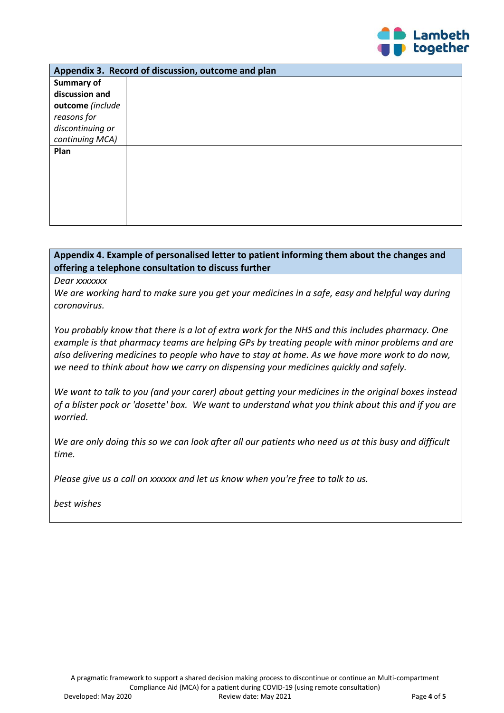

| Appendix 3. Record of discussion, outcome and plan |  |  |  |  |
|----------------------------------------------------|--|--|--|--|
| Summary of                                         |  |  |  |  |
| discussion and                                     |  |  |  |  |
| outcome (include                                   |  |  |  |  |
| reasons for                                        |  |  |  |  |
| discontinuing or                                   |  |  |  |  |
| continuing MCA)                                    |  |  |  |  |
| Plan                                               |  |  |  |  |
|                                                    |  |  |  |  |
|                                                    |  |  |  |  |
|                                                    |  |  |  |  |
|                                                    |  |  |  |  |
|                                                    |  |  |  |  |
|                                                    |  |  |  |  |

# **Appendix 4. Example of personalised letter to patient informing them about the changes and offering a telephone consultation to discuss further**

*Dear xxxxxxx*

*We are working hard to make sure you get your medicines in a safe, easy and helpful way during coronavirus.*

*You probably know that there is a lot of extra work for the NHS and this includes pharmacy. One example is that pharmacy teams are helping GPs by treating people with minor problems and are also delivering medicines to people who have to stay at home. As we have more work to do now, we need to think about how we carry on dispensing your medicines quickly and safely.*

*We want to talk to you (and your carer) about getting your medicines in the original boxes instead of a blister pack or 'dosette' box. We want to understand what you think about this and if you are worried.*

*We are only doing this so we can look after all our patients who need us at this busy and difficult time.*

*Please give us a call on xxxxxx and let us know when you're free to talk to us.*

*best wishes*